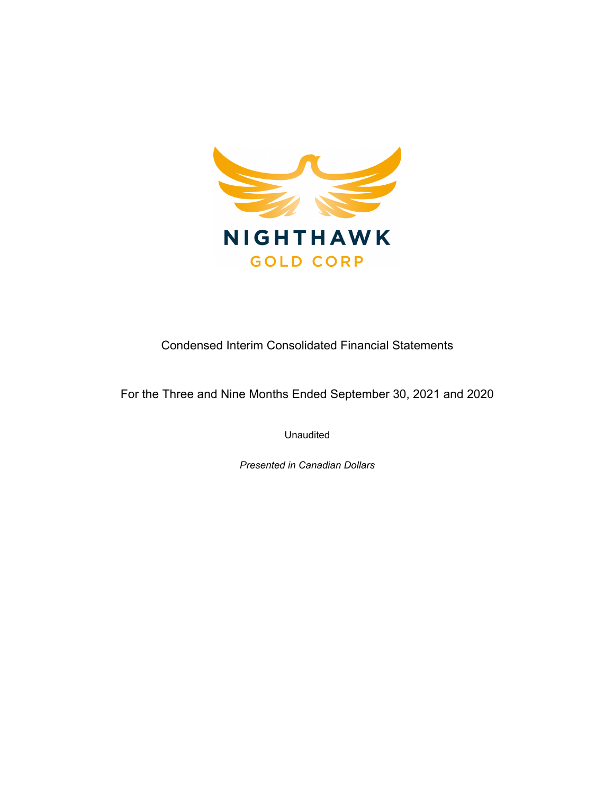

Condensed Interim Consolidated Financial Statements

For the Three and Nine Months Ended September 30, 2021 and 2020

Unaudited

*Presented in Canadian Dollars*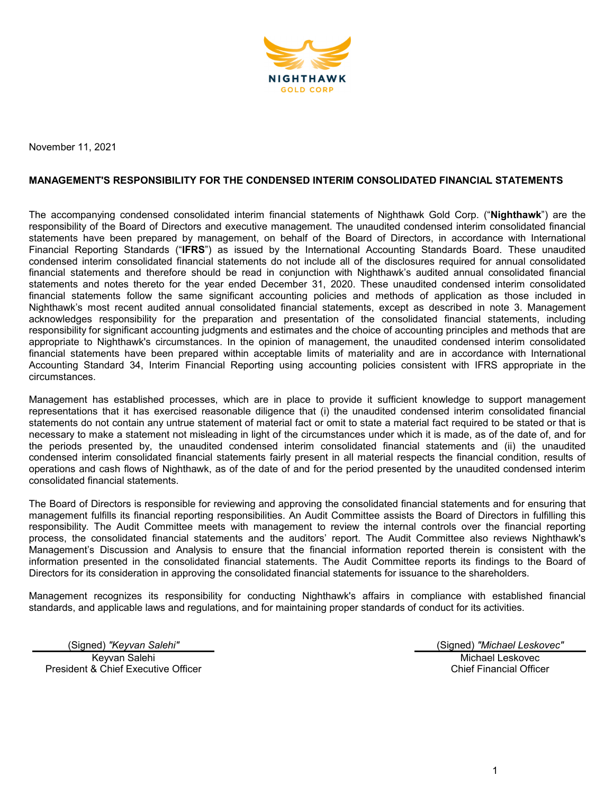

November 11, 2021

## **MANAGEMENT'S RESPONSIBILITY FOR THE CONDENSED INTERIM CONSOLIDATED FINANCIAL STATEMENTS**

The accompanying condensed consolidated interim financial statements of Nighthawk Gold Corp. ("**Nighthawk**") are the responsibility of the Board of Directors and executive management. The unaudited condensed interim consolidated financial statements have been prepared by management, on behalf of the Board of Directors, in accordance with International Financial Reporting Standards ("**IFRS**") as issued by the International Accounting Standards Board. These unaudited condensed interim consolidated financial statements do not include all of the disclosures required for annual consolidated financial statements and therefore should be read in conjunction with Nighthawk's audited annual consolidated financial statements and notes thereto for the year ended December 31, 2020. These unaudited condensed interim consolidated financial statements follow the same significant accounting policies and methods of application as those included in Nighthawk's most recent audited annual consolidated financial statements, except as described in note 3. Management acknowledges responsibility for the preparation and presentation of the consolidated financial statements, including responsibility for significant accounting judgments and estimates and the choice of accounting principles and methods that are appropriate to Nighthawk's circumstances. In the opinion of management, the unaudited condensed interim consolidated financial statements have been prepared within acceptable limits of materiality and are in accordance with International Accounting Standard 34, Interim Financial Reporting using accounting policies consistent with IFRS appropriate in the circumstances.

Management has established processes, which are in place to provide it sufficient knowledge to support management representations that it has exercised reasonable diligence that (i) the unaudited condensed interim consolidated financial statements do not contain any untrue statement of material fact or omit to state a material fact required to be stated or that is necessary to make a statement not misleading in light of the circumstances under which it is made, as of the date of, and for the periods presented by, the unaudited condensed interim consolidated financial statements and (ii) the unaudited condensed interim consolidated financial statements fairly present in all material respects the financial condition, results of operations and cash flows of Nighthawk, as of the date of and for the period presented by the unaudited condensed interim consolidated financial statements.

The Board of Directors is responsible for reviewing and approving the consolidated financial statements and for ensuring that management fulfills its financial reporting responsibilities. An Audit Committee assists the Board of Directors in fulfilling this responsibility. The Audit Committee meets with management to review the internal controls over the financial reporting process, the consolidated financial statements and the auditors' report. The Audit Committee also reviews Nighthawk's Management's Discussion and Analysis to ensure that the financial information reported therein is consistent with the information presented in the consolidated financial statements. The Audit Committee reports its findings to the Board of Directors for its consideration in approving the consolidated financial statements for issuance to the shareholders.

Management recognizes its responsibility for conducting Nighthawk's affairs in compliance with established financial standards, and applicable laws and regulations, and for maintaining proper standards of conduct for its activities.

(Signed) *"Keyvan Salehi"* (Signed) *"Michael Leskovec"* Keyvan Salehi President & Chief Executive Officer

Michael Leskovec Chief Financial Officer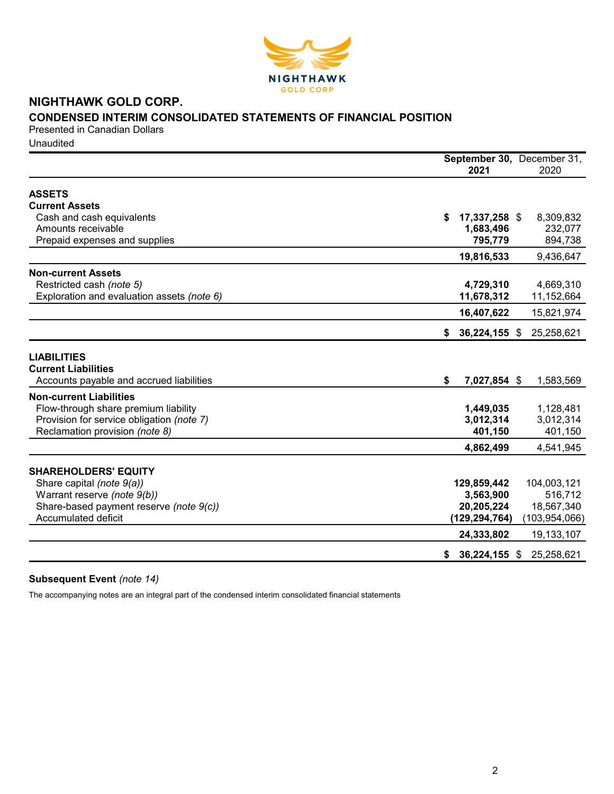

# **NIGHTHAWK GOLD CORP. CONDENSED INTERIM CONSOLIDATED STATEMENTS OF FINANCIAL POSITION**

Presented in Canadian Dollars Unaudited

|                                                  | September 30, December 31,<br>2021 | 2020            |
|--------------------------------------------------|------------------------------------|-----------------|
|                                                  |                                    |                 |
| <b>ASSETS</b><br><b>Current Assets</b>           |                                    |                 |
| Cash and cash equivalents                        | 17,337,258 \$<br>S                 | 8,309,832       |
| Amounts receivable                               | 1,683,496                          | 232,077         |
| Prepaid expenses and supplies                    | 795,779                            | 894,738         |
|                                                  |                                    |                 |
|                                                  | 19,816,533                         | 9,436,647       |
| <b>Non-current Assets</b>                        |                                    |                 |
| Restricted cash (note 5)                         | 4,729,310                          | 4,669,310       |
| Exploration and evaluation assets (note 6)       | 11,678,312                         | 11,152,664      |
|                                                  | 16,407,622                         | 15,821,974      |
|                                                  | 36,224,155 \$<br>\$                | 25,258,621      |
|                                                  |                                    |                 |
| <b>LIABILITIES</b><br><b>Current Liabilities</b> |                                    |                 |
| Accounts payable and accrued liabilities         | \$<br>7,027,854 \$                 | 1,583,569       |
| <b>Non-current Liabilities</b>                   |                                    |                 |
| Flow-through share premium liability             | 1,449,035                          | 1,128,481       |
| Provision for service obligation (note 7)        | 3,012,314                          | 3,012,314       |
| Reclamation provision (note 8)                   | 401,150                            | 401,150         |
|                                                  | 4,862,499                          | 4,541,945       |
|                                                  |                                    |                 |
| <b>SHAREHOLDERS' EQUITY</b>                      |                                    |                 |
| Share capital (note 9(a))                        | 129,859,442                        | 104,003,121     |
| Warrant reserve (note 9(b))                      | 3,563,900                          | 516,712         |
| Share-based payment reserve (note 9(c))          | 20,205,224                         | 18,567,340      |
| Accumulated deficit                              | (129, 294, 764)                    | (103, 954, 066) |
|                                                  | 24,333,802                         | 19,133,107      |
|                                                  | $$36,224,155$ \$                   | 25,258,621      |
|                                                  |                                    |                 |

# **Subsequent Event** *(note 14)*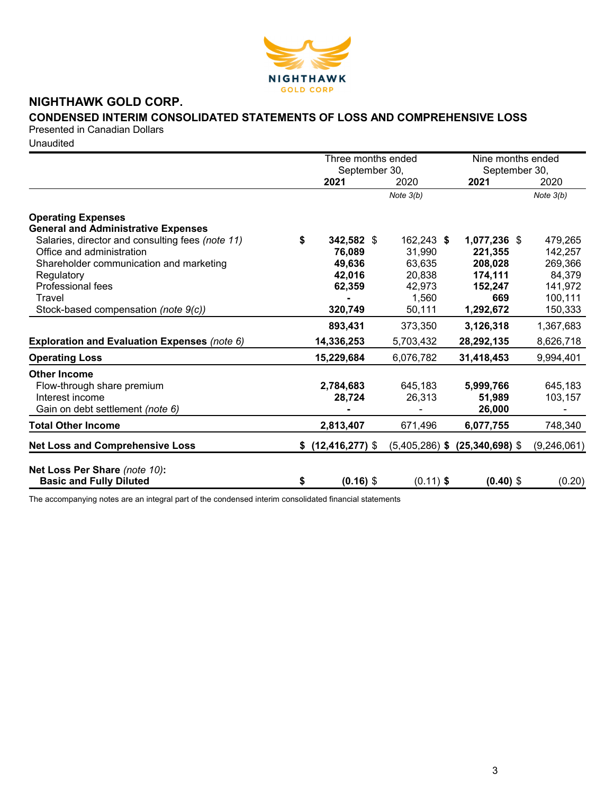

# **NIGHTHAWK GOLD CORP.**

# **CONDENSED INTERIM CONSOLIDATED STATEMENTS OF LOSS AND COMPREHENSIVE LOSS**

Presented in Canadian Dollars

Unaudited

|                                                  |    | Three months ended   |             | Nine months ended                  |             |  |
|--------------------------------------------------|----|----------------------|-------------|------------------------------------|-------------|--|
|                                                  |    | September 30,        |             | September 30,                      |             |  |
|                                                  |    | 2021                 | 2020        | 2021                               | 2020        |  |
|                                                  |    |                      | Note $3(b)$ |                                    | Note $3(b)$ |  |
| <b>Operating Expenses</b>                        |    |                      |             |                                    |             |  |
| <b>General and Administrative Expenses</b>       |    |                      |             |                                    |             |  |
| Salaries, director and consulting fees (note 11) | S  | 342,582 \$           | 162,243 \$  | 1,077,236 \$                       | 479,265     |  |
| Office and administration                        |    | 76,089               | 31,990      | 221,355                            | 142,257     |  |
| Shareholder communication and marketing          |    | 49,636               | 63,635      | 208,028                            | 269,366     |  |
| Regulatory                                       |    | 42,016               | 20,838      | 174,111                            | 84,379      |  |
| <b>Professional fees</b>                         |    | 62,359               | 42,973      | 152,247                            | 141,972     |  |
| Travel                                           |    |                      | 1,560       | 669                                | 100,111     |  |
| Stock-based compensation (note 9(c))             |    | 320,749              | 50,111      | 1,292,672                          | 150,333     |  |
|                                                  |    | 893,431              | 373,350     | 3,126,318                          | 1,367,683   |  |
| Exploration and Evaluation Expenses (note 6)     |    | 14,336,253           | 5,703,432   | 28,292,135                         | 8,626,718   |  |
| <b>Operating Loss</b>                            |    | 15,229,684           | 6,076,782   | 31,418,453                         | 9,994,401   |  |
| <b>Other Income</b>                              |    |                      |             |                                    |             |  |
| Flow-through share premium                       |    | 2,784,683            | 645,183     | 5,999,766                          | 645,183     |  |
| Interest income                                  |    | 28,724               | 26,313      | 51,989                             | 103,157     |  |
| Gain on debt settlement (note 6)                 |    |                      |             | 26,000                             |             |  |
| <b>Total Other Income</b>                        |    | 2,813,407            | 671,496     | 6,077,755                          | 748,340     |  |
| <b>Net Loss and Comprehensive Loss</b>           |    | $$$ (12,416,277) $$$ |             | $(5,405,286)$ \$ $(25,340,698)$ \$ | (9,246,061) |  |
| Net Loss Per Share (note 10):                    |    |                      |             |                                    |             |  |
| <b>Basic and Fully Diluted</b>                   | \$ | $(0.16)$ \$          | $(0.11)$ \$ | $(0.40)$ \$                        | (0.20)      |  |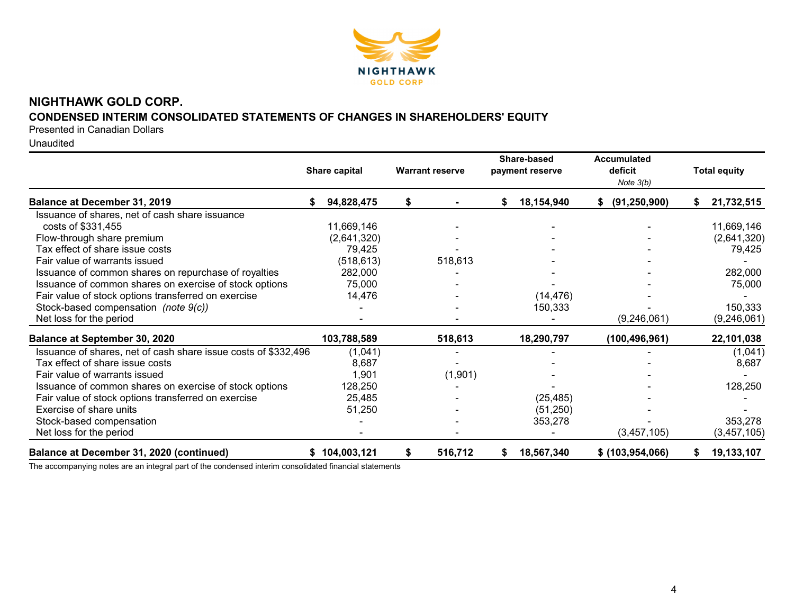

# **NIGHTHAWK GOLD CORP. CONDENSED INTERIM CONSOLIDATED STATEMENTS OF CHANGES IN SHAREHOLDERS' EQUITY**

Presented in Canadian Dollars

Unaudited

|                                                                | Share capital | <b>Warrant reserve</b> |   | Share-based<br>payment reserve | <b>Accumulated</b><br>deficit<br>Note $3(b)$ | <b>Total equity</b> |
|----------------------------------------------------------------|---------------|------------------------|---|--------------------------------|----------------------------------------------|---------------------|
| <b>Balance at December 31, 2019</b>                            | 94,828,475    | \$                     | S | 18,154,940                     | (91, 250, 900)                               | 21,732,515          |
| Issuance of shares, net of cash share issuance                 |               |                        |   |                                |                                              |                     |
| costs of \$331,455                                             | 11,669,146    |                        |   |                                |                                              | 11,669,146          |
| Flow-through share premium                                     | (2,641,320)   |                        |   |                                |                                              | (2,641,320)         |
| Tax effect of share issue costs                                | 79,425        |                        |   |                                |                                              | 79,425              |
| Fair value of warrants issued                                  | (518, 613)    | 518,613                |   |                                |                                              |                     |
| Issuance of common shares on repurchase of royalties           | 282,000       |                        |   |                                |                                              | 282,000             |
| Issuance of common shares on exercise of stock options         | 75,000        |                        |   |                                |                                              | 75,000              |
| Fair value of stock options transferred on exercise            | 14,476        |                        |   | (14, 476)                      |                                              |                     |
| Stock-based compensation (note 9(c))                           |               |                        |   | 150,333                        |                                              | 150,333             |
| Net loss for the period                                        |               |                        |   |                                | (9,246,061)                                  | (9,246,061)         |
| <b>Balance at September 30, 2020</b>                           | 103,788,589   | 518,613                |   | 18,290,797                     | (100, 496, 961)                              | 22,101,038          |
| Issuance of shares, net of cash share issue costs of \$332,496 | (1,041)       |                        |   |                                |                                              | (1,041)             |
| Tax effect of share issue costs                                | 8,687         |                        |   |                                |                                              | 8,687               |
| Fair value of warrants issued                                  | 1,901         | (1,901)                |   |                                |                                              |                     |
| Issuance of common shares on exercise of stock options         | 128,250       |                        |   |                                |                                              | 128,250             |
| Fair value of stock options transferred on exercise            | 25,485        |                        |   | (25, 485)                      |                                              |                     |
| Exercise of share units                                        | 51,250        |                        |   | (51, 250)                      |                                              |                     |
| Stock-based compensation                                       |               |                        |   | 353,278                        |                                              | 353,278             |
| Net loss for the period                                        |               |                        |   |                                | (3,457,105)                                  | (3,457,105)         |
| Balance at December 31, 2020 (continued)                       | \$104,003,121 | \$<br>516,712          | S | 18,567,340                     | \$ (103, 954, 066)                           | 19,133,107          |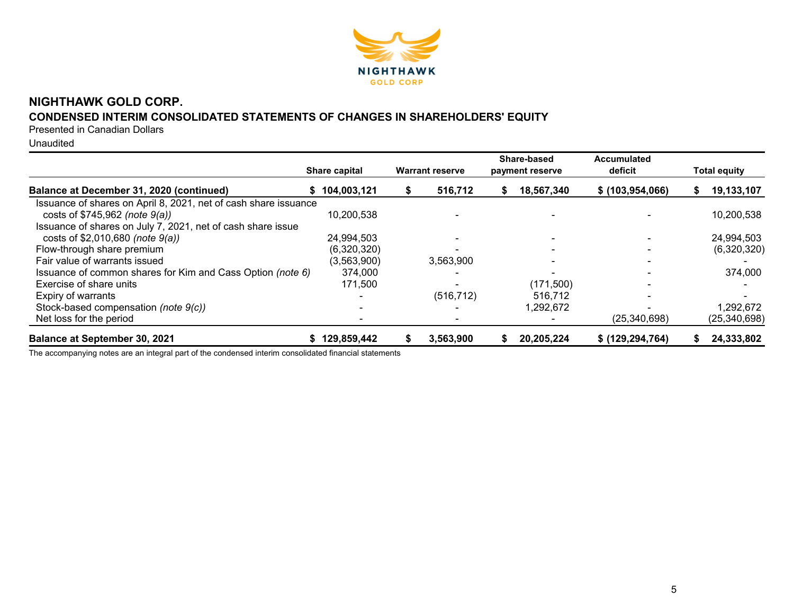

# **NIGHTHAWK GOLD CORP.**

# **CONDENSED INTERIM CONSOLIDATED STATEMENTS OF CHANGES IN SHAREHOLDERS' EQUITY**

Presented in Canadian Dollars

Unaudited

|                                                                 | <b>Share capital</b> | <b>Warrant reserve</b> |   | Share-based<br>payment reserve | Accumulated<br>deficit | <b>Total equity</b> |
|-----------------------------------------------------------------|----------------------|------------------------|---|--------------------------------|------------------------|---------------------|
| Balance at December 31, 2020 (continued)                        | \$104,003,121        | 516,712                | S | 18,567,340                     | \$ (103, 954, 066)     | 19,133,107          |
| Issuance of shares on April 8, 2021, net of cash share issuance |                      |                        |   |                                |                        |                     |
| costs of \$745,962 (note 9(a))                                  | 10,200,538           |                        |   |                                |                        | 10,200,538          |
| Issuance of shares on July 7, 2021, net of cash share issue     |                      |                        |   |                                |                        |                     |
| costs of \$2,010,680 (note 9(a))                                | 24,994,503           |                        |   |                                |                        | 24,994,503          |
| Flow-through share premium                                      | (6,320,320)          |                        |   |                                |                        | (6,320,320)         |
| Fair value of warrants issued                                   | (3,563,900)          | 3,563,900              |   |                                |                        |                     |
| Issuance of common shares for Kim and Cass Option (note 6)      | 374,000              |                        |   |                                |                        | 374,000             |
| Exercise of share units                                         | 171,500              |                        |   | (171, 500)                     |                        |                     |
| Expiry of warrants                                              |                      | (516, 712)             |   | 516.712                        |                        |                     |
| Stock-based compensation (note 9(c))                            |                      |                        |   | 1,292,672                      |                        | 1,292,672           |
| Net loss for the period                                         |                      |                        |   |                                | (25, 340, 698)         | (25, 340, 698)      |
| <b>Balance at September 30, 2021</b>                            | \$129,859,442        | 3,563,900              |   | 20,205,224                     | \$ (129, 294, 764)     | 24,333,802          |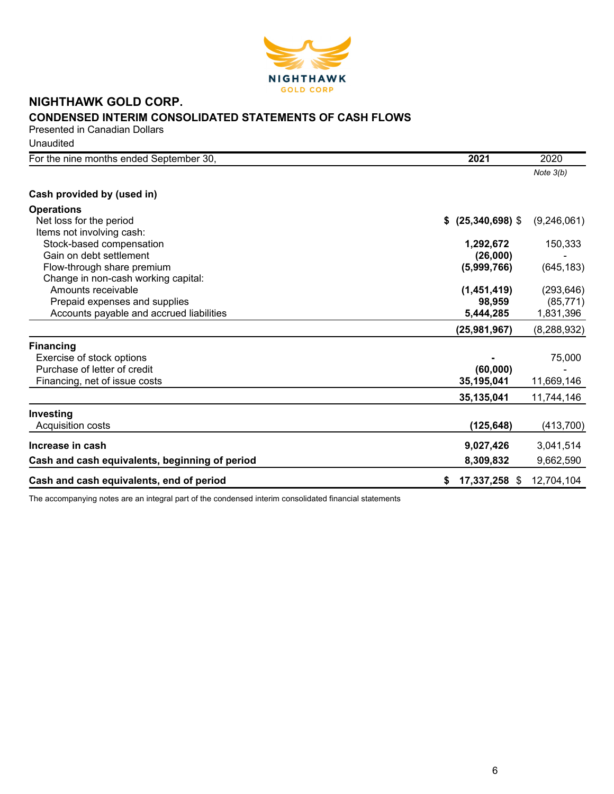

# **NIGHTHAWK GOLD CORP. CONDENSED INTERIM CONSOLIDATED STATEMENTS OF CASH FLOWS** Presented in Canadian Dollars

| Unaudited |  |
|-----------|--|
|-----------|--|

| For the nine months ended September 30,        | 2021                | 2020          |
|------------------------------------------------|---------------------|---------------|
|                                                |                     | Note $3(b)$   |
| Cash provided by (used in)                     |                     |               |
| <b>Operations</b>                              |                     |               |
| Net loss for the period                        | \$ (25,340,698)     | (9,246,061)   |
| Items not involving cash:                      |                     |               |
| Stock-based compensation                       | 1,292,672           | 150,333       |
| Gain on debt settlement                        | (26,000)            |               |
| Flow-through share premium                     | (5,999,766)         | (645, 183)    |
| Change in non-cash working capital:            |                     |               |
| Amounts receivable                             | (1,451,419)         | (293, 646)    |
| Prepaid expenses and supplies                  | 98,959              | (85, 771)     |
| Accounts payable and accrued liabilities       | 5,444,285           | 1,831,396     |
|                                                | (25,981,967)        | (8, 288, 932) |
| <b>Financing</b>                               |                     |               |
| Exercise of stock options                      |                     | 75,000        |
| Purchase of letter of credit                   | (60,000)            |               |
| Financing, net of issue costs                  | 35,195,041          | 11,669,146    |
|                                                | 35,135,041          | 11,744,146    |
| Investing                                      |                     |               |
| Acquisition costs                              | (125, 648)          | (413,700)     |
| Increase in cash                               | 9,027,426           | 3,041,514     |
| Cash and cash equivalents, beginning of period | 8,309,832           | 9,662,590     |
| Cash and cash equivalents, end of period       | 17,337,258 \$<br>\$ | 12,704,104    |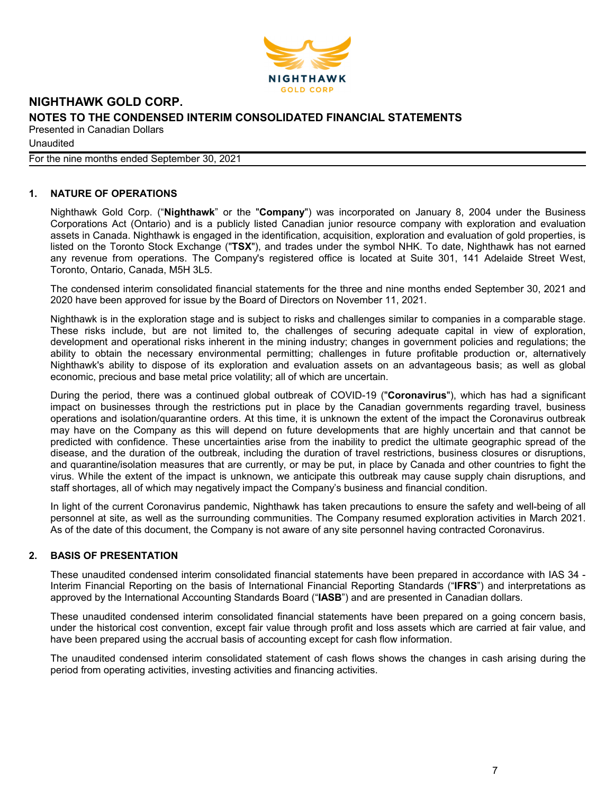

**Unaudited** 

For the nine months ended September 30, 2021

# **1. NATURE OF OPERATIONS**

Nighthawk Gold Corp. ("**Nighthawk**" or the "**Company**") was incorporated on January 8, 2004 under the Business Corporations Act (Ontario) and is a publicly listed Canadian junior resource company with exploration and evaluation assets in Canada. Nighthawk is engaged in the identification, acquisition, exploration and evaluation of gold properties, is listed on the Toronto Stock Exchange ("**TSX**"), and trades under the symbol NHK. To date, Nighthawk has not earned any revenue from operations. The Company's registered office is located at Suite 301, 141 Adelaide Street West, Toronto, Ontario, Canada, M5H 3L5.

The condensed interim consolidated financial statements for the three and nine months ended September 30, 2021 and 2020 have been approved for issue by the Board of Directors on November 11, 2021.

Nighthawk is in the exploration stage and is subject to risks and challenges similar to companies in a comparable stage. These risks include, but are not limited to, the challenges of securing adequate capital in view of exploration, development and operational risks inherent in the mining industry; changes in government policies and regulations; the ability to obtain the necessary environmental permitting; challenges in future profitable production or, alternatively Nighthawk's ability to dispose of its exploration and evaluation assets on an advantageous basis; as well as global economic, precious and base metal price volatility; all of which are uncertain.

During the period, there was a continued global outbreak of COVID-19 ("**Coronavirus**"), which has had a significant impact on businesses through the restrictions put in place by the Canadian governments regarding travel, business operations and isolation/quarantine orders. At this time, it is unknown the extent of the impact the Coronavirus outbreak may have on the Company as this will depend on future developments that are highly uncertain and that cannot be predicted with confidence. These uncertainties arise from the inability to predict the ultimate geographic spread of the disease, and the duration of the outbreak, including the duration of travel restrictions, business closures or disruptions, and quarantine/isolation measures that are currently, or may be put, in place by Canada and other countries to fight the virus. While the extent of the impact is unknown, we anticipate this outbreak may cause supply chain disruptions, and staff shortages, all of which may negatively impact the Company's business and financial condition.

In light of the current Coronavirus pandemic, Nighthawk has taken precautions to ensure the safety and well-being of all personnel at site, as well as the surrounding communities. The Company resumed exploration activities in March 2021. As of the date of this document, the Company is not aware of any site personnel having contracted Coronavirus.

# **2. BASIS OF PRESENTATION**

These unaudited condensed interim consolidated financial statements have been prepared in accordance with IAS 34 - Interim Financial Reporting on the basis of International Financial Reporting Standards ("**IFRS**") and interpretations as approved by the International Accounting Standards Board ("**IASB**") and are presented in Canadian dollars.

These unaudited condensed interim consolidated financial statements have been prepared on a going concern basis, under the historical cost convention, except fair value through profit and loss assets which are carried at fair value, and have been prepared using the accrual basis of accounting except for cash flow information.

The unaudited condensed interim consolidated statement of cash flows shows the changes in cash arising during the period from operating activities, investing activities and financing activities.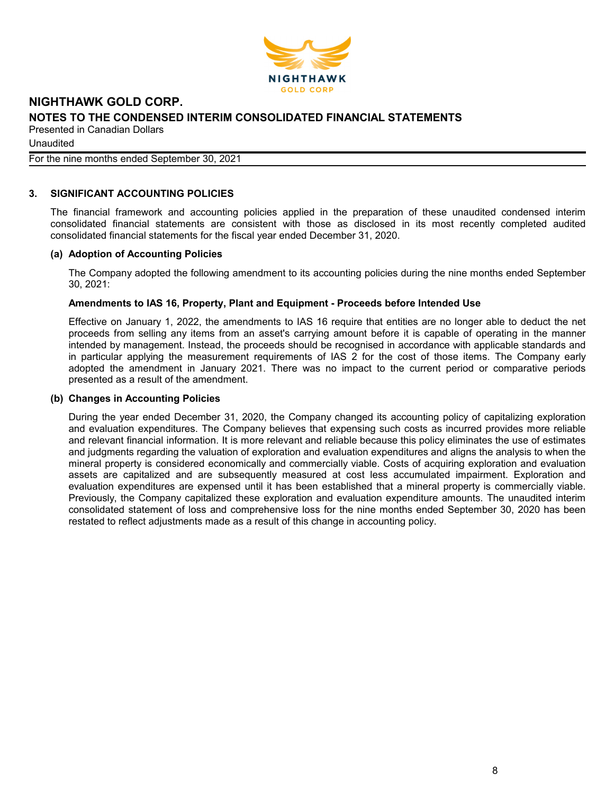

Unaudited

# For the nine months ended September 30, 2021

## **3. SIGNIFICANT ACCOUNTING POLICIES**

The financial framework and accounting policies applied in the preparation of these unaudited condensed interim consolidated financial statements are consistent with those as disclosed in its most recently completed audited consolidated financial statements for the fiscal year ended December 31, 2020.

### **(a) Adoption of Accounting Policies**

The Company adopted the following amendment to its accounting policies during the nine months ended September 30, 2021:

## **Amendments to IAS 16, Property, Plant and Equipment - Proceeds before Intended Use**

Effective on January 1, 2022, the amendments to IAS 16 require that entities are no longer able to deduct the net proceeds from selling any items from an asset's carrying amount before it is capable of operating in the manner intended by management. Instead, the proceeds should be recognised in accordance with applicable standards and in particular applying the measurement requirements of IAS 2 for the cost of those items. The Company early adopted the amendment in January 2021. There was no impact to the current period or comparative periods presented as a result of the amendment.

### **(b) Changes in Accounting Policies**

During the year ended December 31, 2020, the Company changed its accounting policy of capitalizing exploration and evaluation expenditures. The Company believes that expensing such costs as incurred provides more reliable and relevant financial information. It is more relevant and reliable because this policy eliminates the use of estimates and judgments regarding the valuation of exploration and evaluation expenditures and aligns the analysis to when the mineral property is considered economically and commercially viable. Costs of acquiring exploration and evaluation assets are capitalized and are subsequently measured at cost less accumulated impairment. Exploration and evaluation expenditures are expensed until it has been established that a mineral property is commercially viable. Previously, the Company capitalized these exploration and evaluation expenditure amounts. The unaudited interim consolidated statement of loss and comprehensive loss for the nine months ended September 30, 2020 has been restated to reflect adjustments made as a result of this change in accounting policy.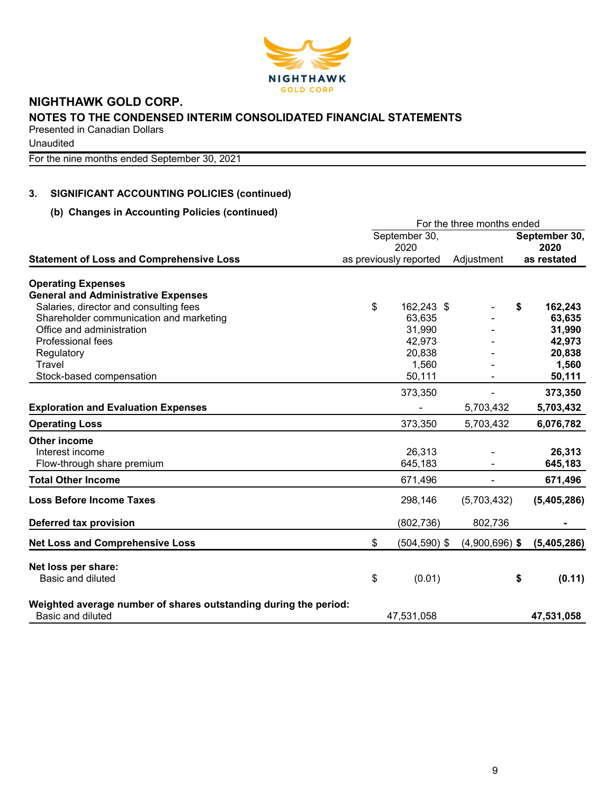

Unaudited

For the nine months ended September 30, 2021

# **3. SIGNIFICANT ACCOUNTING POLICIES (continued)**

# **(b) Changes in Accounting Policies (continued)**

|                                                                  |                        | For the three months ended |                       |
|------------------------------------------------------------------|------------------------|----------------------------|-----------------------|
|                                                                  | September 30,<br>2020  |                            | September 30,<br>2020 |
| <b>Statement of Loss and Comprehensive Loss</b>                  | as previously reported | Adjustment                 | as restated           |
|                                                                  |                        |                            |                       |
| <b>Operating Expenses</b>                                        |                        |                            |                       |
| <b>General and Administrative Expenses</b>                       |                        |                            |                       |
| Salaries, director and consulting fees                           | \$<br>162,243 \$       |                            | \$<br>162,243         |
| Shareholder communication and marketing                          | 63,635                 |                            | 63,635                |
| Office and administration                                        | 31,990                 |                            | 31,990                |
| Professional fees                                                | 42,973                 |                            | 42,973                |
| Regulatory                                                       | 20,838                 |                            | 20,838                |
| Travel                                                           | 1,560                  |                            | 1,560                 |
| Stock-based compensation                                         | 50,111                 |                            | 50,111                |
|                                                                  | 373,350                |                            | 373,350               |
| <b>Exploration and Evaluation Expenses</b>                       |                        | 5,703,432                  | 5,703,432             |
| <b>Operating Loss</b>                                            | 373,350                | 5,703,432                  | 6,076,782             |
| <b>Other income</b>                                              |                        |                            |                       |
| Interest income                                                  | 26,313                 |                            | 26,313                |
| Flow-through share premium                                       | 645,183                |                            | 645,183               |
| <b>Total Other Income</b>                                        | 671,496                |                            | 671,496               |
| <b>Loss Before Income Taxes</b>                                  | 298,146                | (5,703,432)                | (5,405,286)           |
| Deferred tax provision                                           | (802, 736)             | 802,736                    |                       |
| <b>Net Loss and Comprehensive Loss</b>                           | \$<br>$(504, 590)$ \$  | $(4,900,696)$ \$           | (5,405,286)           |
|                                                                  |                        |                            |                       |
| Net loss per share:<br>Basic and diluted                         |                        |                            |                       |
|                                                                  | \$<br>(0.01)           |                            | \$<br>(0.11)          |
| Weighted average number of shares outstanding during the period: |                        |                            |                       |
| Basic and diluted                                                | 47,531,058             |                            | 47,531,058            |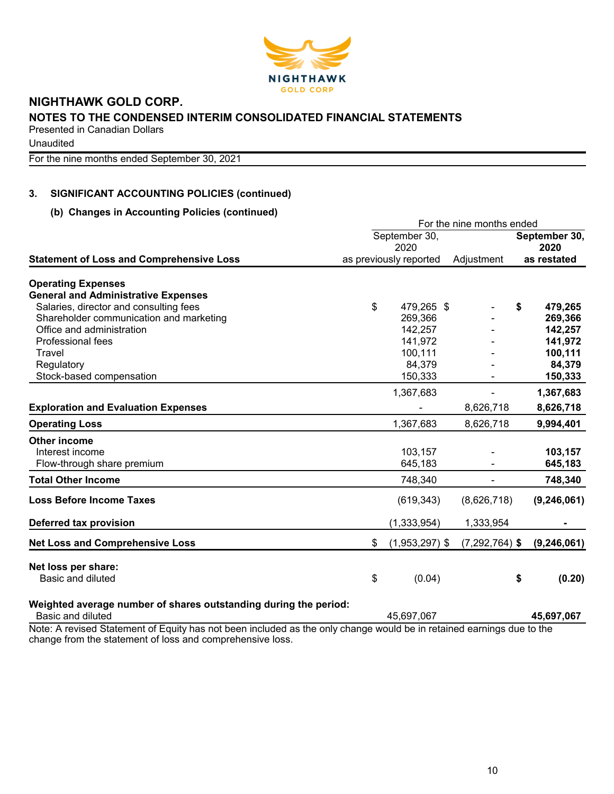

**Unaudited** 

For the nine months ended September 30, 2021

# **3. SIGNIFICANT ACCOUNTING POLICIES (continued)**

# **(b) Changes in Accounting Policies (continued)**

|                                                                  |                        | For the nine months ended |               |
|------------------------------------------------------------------|------------------------|---------------------------|---------------|
|                                                                  | September 30,          |                           | September 30, |
|                                                                  | 2020                   |                           | 2020          |
| <b>Statement of Loss and Comprehensive Loss</b>                  | as previously reported | Adjustment                | as restated   |
| <b>Operating Expenses</b>                                        |                        |                           |               |
| <b>General and Administrative Expenses</b>                       |                        |                           |               |
| Salaries, director and consulting fees                           | \$<br>479,265 \$       |                           | \$<br>479,265 |
| Shareholder communication and marketing                          | 269,366                |                           | 269,366       |
| Office and administration                                        | 142,257                |                           | 142,257       |
| Professional fees                                                | 141,972                |                           | 141,972       |
| Travel                                                           | 100,111                |                           | 100,111       |
|                                                                  | 84,379                 |                           | 84,379        |
| Regulatory                                                       | 150,333                |                           |               |
| Stock-based compensation                                         |                        |                           | 150,333       |
|                                                                  | 1,367,683              |                           | 1,367,683     |
| <b>Exploration and Evaluation Expenses</b>                       |                        | 8,626,718                 | 8,626,718     |
| <b>Operating Loss</b>                                            | 1,367,683              | 8,626,718                 | 9,994,401     |
| <b>Other income</b>                                              |                        |                           |               |
| Interest income                                                  | 103,157                |                           | 103,157       |
| Flow-through share premium                                       | 645,183                |                           | 645,183       |
| <b>Total Other Income</b>                                        | 748,340                |                           | 748,340       |
| <b>Loss Before Income Taxes</b>                                  | (619, 343)             | (8,626,718)               | (9, 246, 061) |
| Deferred tax provision                                           | (1, 333, 954)          | 1,333,954                 |               |
| <b>Net Loss and Comprehensive Loss</b>                           | \$<br>$(1,953,297)$ \$ | $(7,292,764)$ \$          | (9, 246, 061) |
| Net loss per share:                                              |                        |                           |               |
| Basic and diluted                                                | \$<br>(0.04)           |                           | \$<br>(0.20)  |
| Weighted average number of shares outstanding during the period: |                        |                           |               |
| Basic and diluted                                                | 45,697,067             |                           | 45,697,067    |
|                                                                  |                        |                           |               |

Note: A revised Statement of Equity has not been included as the only change would be in retained earnings due to the change from the statement of loss and comprehensive loss.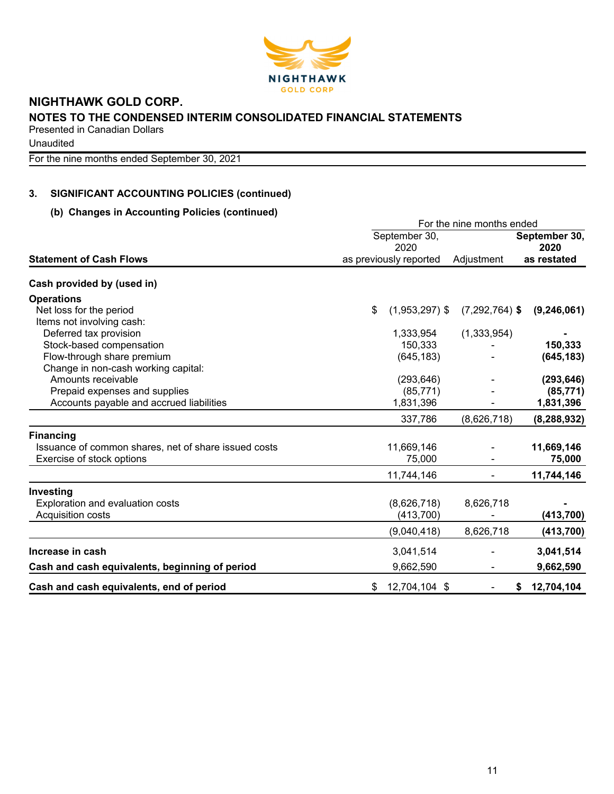

Unaudited

For the nine months ended September 30, 2021

# **3. SIGNIFICANT ACCOUNTING POLICIES (continued)**

# **(b) Changes in Accounting Policies (continued)**

|                                                                                                                                                                                                                                                                                                                                                                                                                                                                | For the nine months ended |                        |                  |                       |  |  |  |  |  |
|----------------------------------------------------------------------------------------------------------------------------------------------------------------------------------------------------------------------------------------------------------------------------------------------------------------------------------------------------------------------------------------------------------------------------------------------------------------|---------------------------|------------------------|------------------|-----------------------|--|--|--|--|--|
|                                                                                                                                                                                                                                                                                                                                                                                                                                                                |                           | September 30,<br>2020  |                  | September 30,<br>2020 |  |  |  |  |  |
| <b>Statement of Cash Flows</b>                                                                                                                                                                                                                                                                                                                                                                                                                                 |                           | as previously reported | Adjustment       | as restated           |  |  |  |  |  |
| Cash provided by (used in)<br>Net loss for the period<br>Items not involving cash:<br>Deferred tax provision<br>Stock-based compensation<br>Flow-through share premium<br>Change in non-cash working capital:<br>Amounts receivable<br>Prepaid expenses and supplies<br>Accounts payable and accrued liabilities<br>Issuance of common shares, net of share issued costs<br>Exercise of stock options<br>Exploration and evaluation costs<br>Acquisition costs |                           |                        |                  |                       |  |  |  |  |  |
| <b>Operations</b>                                                                                                                                                                                                                                                                                                                                                                                                                                              |                           |                        |                  |                       |  |  |  |  |  |
|                                                                                                                                                                                                                                                                                                                                                                                                                                                                | \$                        | $(1,953,297)$ \$       | $(7,292,764)$ \$ | (9, 246, 061)         |  |  |  |  |  |
|                                                                                                                                                                                                                                                                                                                                                                                                                                                                |                           |                        |                  |                       |  |  |  |  |  |
|                                                                                                                                                                                                                                                                                                                                                                                                                                                                |                           | 1,333,954              | (1,333,954)      |                       |  |  |  |  |  |
|                                                                                                                                                                                                                                                                                                                                                                                                                                                                |                           | 150,333                |                  | 150,333               |  |  |  |  |  |
|                                                                                                                                                                                                                                                                                                                                                                                                                                                                |                           | (645, 183)             |                  | (645, 183)            |  |  |  |  |  |
|                                                                                                                                                                                                                                                                                                                                                                                                                                                                |                           |                        |                  |                       |  |  |  |  |  |
|                                                                                                                                                                                                                                                                                                                                                                                                                                                                |                           | (293, 646)             |                  | (293, 646)            |  |  |  |  |  |
|                                                                                                                                                                                                                                                                                                                                                                                                                                                                |                           | (85, 771)              |                  | (85, 771)             |  |  |  |  |  |
|                                                                                                                                                                                                                                                                                                                                                                                                                                                                |                           | 1,831,396              |                  | 1,831,396             |  |  |  |  |  |
|                                                                                                                                                                                                                                                                                                                                                                                                                                                                |                           | 337,786                | (8,626,718)      | (8, 288, 932)         |  |  |  |  |  |
| <b>Financing</b>                                                                                                                                                                                                                                                                                                                                                                                                                                               |                           |                        |                  |                       |  |  |  |  |  |
|                                                                                                                                                                                                                                                                                                                                                                                                                                                                |                           | 11,669,146             |                  | 11,669,146            |  |  |  |  |  |
|                                                                                                                                                                                                                                                                                                                                                                                                                                                                |                           | 75,000                 |                  | 75,000                |  |  |  |  |  |
|                                                                                                                                                                                                                                                                                                                                                                                                                                                                |                           | 11,744,146             |                  | 11,744,146            |  |  |  |  |  |
| Investing                                                                                                                                                                                                                                                                                                                                                                                                                                                      |                           |                        |                  |                       |  |  |  |  |  |
|                                                                                                                                                                                                                                                                                                                                                                                                                                                                |                           | (8,626,718)            | 8,626,718        |                       |  |  |  |  |  |
|                                                                                                                                                                                                                                                                                                                                                                                                                                                                |                           | (413, 700)             |                  | (413, 700)            |  |  |  |  |  |
|                                                                                                                                                                                                                                                                                                                                                                                                                                                                |                           | (9,040,418)            | 8,626,718        | (413, 700)            |  |  |  |  |  |
| Increase in cash                                                                                                                                                                                                                                                                                                                                                                                                                                               |                           | 3,041,514              |                  | 3,041,514             |  |  |  |  |  |
| Cash and cash equivalents, beginning of period                                                                                                                                                                                                                                                                                                                                                                                                                 |                           | 9,662,590              |                  | 9,662,590             |  |  |  |  |  |
| Cash and cash equivalents, end of period                                                                                                                                                                                                                                                                                                                                                                                                                       | \$                        | 12,704,104 \$          |                  | 12,704,104<br>S       |  |  |  |  |  |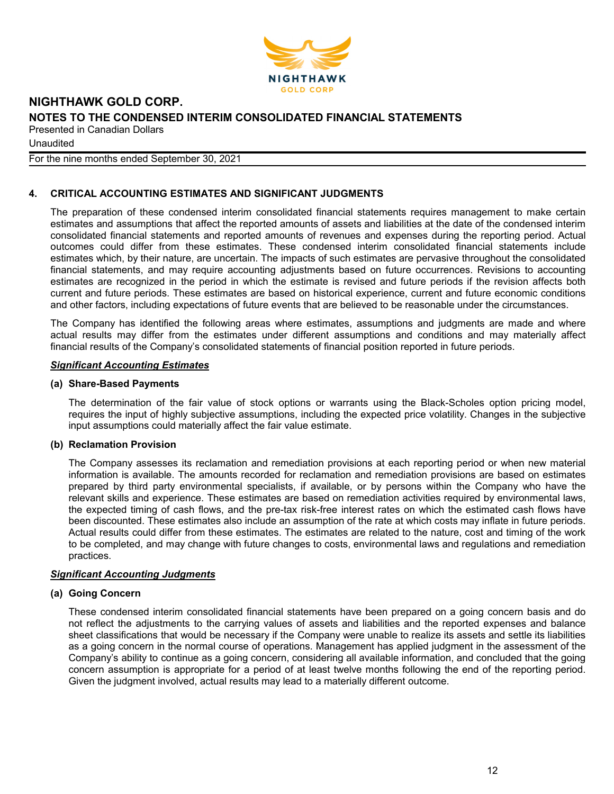

**Unaudited** 

For the nine months ended September 30, 2021

# **4. CRITICAL ACCOUNTING ESTIMATES AND SIGNIFICANT JUDGMENTS**

The preparation of these condensed interim consolidated financial statements requires management to make certain estimates and assumptions that affect the reported amounts of assets and liabilities at the date of the condensed interim consolidated financial statements and reported amounts of revenues and expenses during the reporting period. Actual outcomes could differ from these estimates. These condensed interim consolidated financial statements include estimates which, by their nature, are uncertain. The impacts of such estimates are pervasive throughout the consolidated financial statements, and may require accounting adjustments based on future occurrences. Revisions to accounting estimates are recognized in the period in which the estimate is revised and future periods if the revision affects both current and future periods. These estimates are based on historical experience, current and future economic conditions and other factors, including expectations of future events that are believed to be reasonable under the circumstances.

The Company has identified the following areas where estimates, assumptions and judgments are made and where actual results may differ from the estimates under different assumptions and conditions and may materially affect financial results of the Company's consolidated statements of financial position reported in future periods.

### *Significant Accounting Estimates*

## **(a) Share-Based Payments**

The determination of the fair value of stock options or warrants using the Black-Scholes option pricing model, requires the input of highly subjective assumptions, including the expected price volatility. Changes in the subjective input assumptions could materially affect the fair value estimate.

### **(b) Reclamation Provision**

The Company assesses its reclamation and remediation provisions at each reporting period or when new material information is available. The amounts recorded for reclamation and remediation provisions are based on estimates prepared by third party environmental specialists, if available, or by persons within the Company who have the relevant skills and experience. These estimates are based on remediation activities required by environmental laws, the expected timing of cash flows, and the pre-tax risk-free interest rates on which the estimated cash flows have been discounted. These estimates also include an assumption of the rate at which costs may inflate in future periods. Actual results could differ from these estimates. The estimates are related to the nature, cost and timing of the work to be completed, and may change with future changes to costs, environmental laws and regulations and remediation practices.

# *Significant Accounting Judgments*

### **(a) Going Concern**

These condensed interim consolidated financial statements have been prepared on a going concern basis and do not reflect the adjustments to the carrying values of assets and liabilities and the reported expenses and balance sheet classifications that would be necessary if the Company were unable to realize its assets and settle its liabilities as a going concern in the normal course of operations. Management has applied judgment in the assessment of the Company's ability to continue as a going concern, considering all available information, and concluded that the going concern assumption is appropriate for a period of at least twelve months following the end of the reporting period. Given the judgment involved, actual results may lead to a materially different outcome.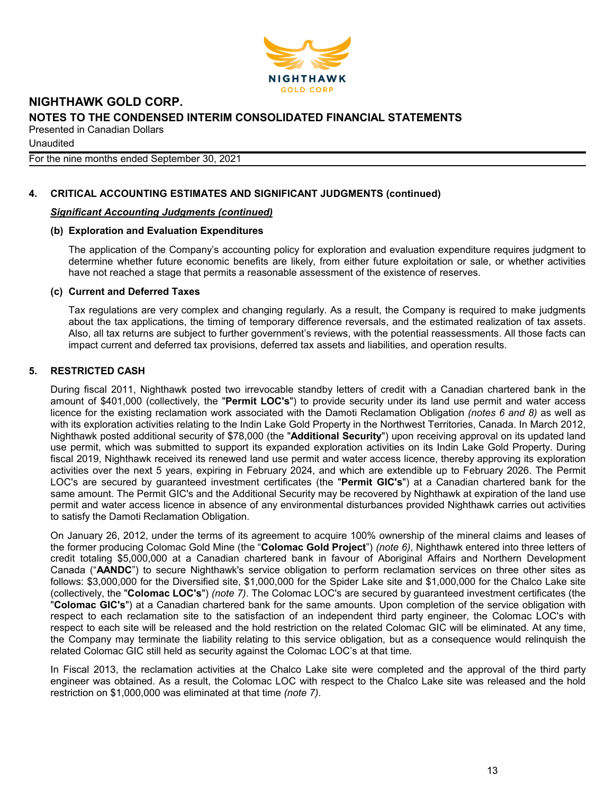

**Unaudited** 

For the nine months ended September 30, 2021

# **4. CRITICAL ACCOUNTING ESTIMATES AND SIGNIFICANT JUDGMENTS (continued)**

## *Significant Accounting Judgments (continued)*

## **(b) Exploration and Evaluation Expenditures**

The application of the Company's accounting policy for exploration and evaluation expenditure requires judgment to determine whether future economic benefits are likely, from either future exploitation or sale, or whether activities have not reached a stage that permits a reasonable assessment of the existence of reserves.

### **(c) Current and Deferred Taxes**

Tax regulations are very complex and changing regularly. As a result, the Company is required to make judgments about the tax applications, the timing of temporary difference reversals, and the estimated realization of tax assets. Also, all tax returns are subject to further government's reviews, with the potential reassessments. All those facts can impact current and deferred tax provisions, deferred tax assets and liabilities, and operation results.

# **5. RESTRICTED CASH**

During fiscal 2011, Nighthawk posted two irrevocable standby letters of credit with a Canadian chartered bank in the amount of \$401,000 (collectively, the "**Permit LOC's**") to provide security under its land use permit and water access licence for the existing reclamation work associated with the Damoti Reclamation Obligation *(notes 6 and 8)* as well as with its exploration activities relating to the Indin Lake Gold Property in the Northwest Territories, Canada. In March 2012, Nighthawk posted additional security of \$78,000 (the "**Additional Security**") upon receiving approval on its updated land use permit, which was submitted to support its expanded exploration activities on its Indin Lake Gold Property. During fiscal 2019, Nighthawk received its renewed land use permit and water access licence, thereby approving its exploration activities over the next 5 years, expiring in February 2024, and which are extendible up to February 2026. The Permit LOC's are secured by guaranteed investment certificates (the "**Permit GIC's**") at a Canadian chartered bank for the same amount. The Permit GIC's and the Additional Security may be recovered by Nighthawk at expiration of the land use permit and water access licence in absence of any environmental disturbances provided Nighthawk carries out activities to satisfy the Damoti Reclamation Obligation.

On January 26, 2012, under the terms of its agreement to acquire 100% ownership of the mineral claims and leases of the former producing Colomac Gold Mine (the "**Colomac Gold Project**") *(note 6)*, Nighthawk entered into three letters of credit totaling \$5,000,000 at a Canadian chartered bank in favour of Aboriginal Affairs and Northern Development Canada ("**AANDC**") to secure Nighthawk's service obligation to perform reclamation services on three other sites as follows: \$3,000,000 for the Diversified site, \$1,000,000 for the Spider Lake site and \$1,000,000 for the Chalco Lake site (collectively, the "**Colomac LOC's**") *(note 7)*. The Colomac LOC's are secured by guaranteed investment certificates (the "**Colomac GIC's**") at a Canadian chartered bank for the same amounts. Upon completion of the service obligation with respect to each reclamation site to the satisfaction of an independent third party engineer, the Colomac LOC's with respect to each site will be released and the hold restriction on the related Colomac GIC will be eliminated. At any time, the Company may terminate the liability relating to this service obligation, but as a consequence would relinquish the related Colomac GIC still held as security against the Colomac LOC's at that time.

In Fiscal 2013, the reclamation activities at the Chalco Lake site were completed and the approval of the third party engineer was obtained. As a result, the Colomac LOC with respect to the Chalco Lake site was released and the hold restriction on \$1,000,000 was eliminated at that time *(note 7)*.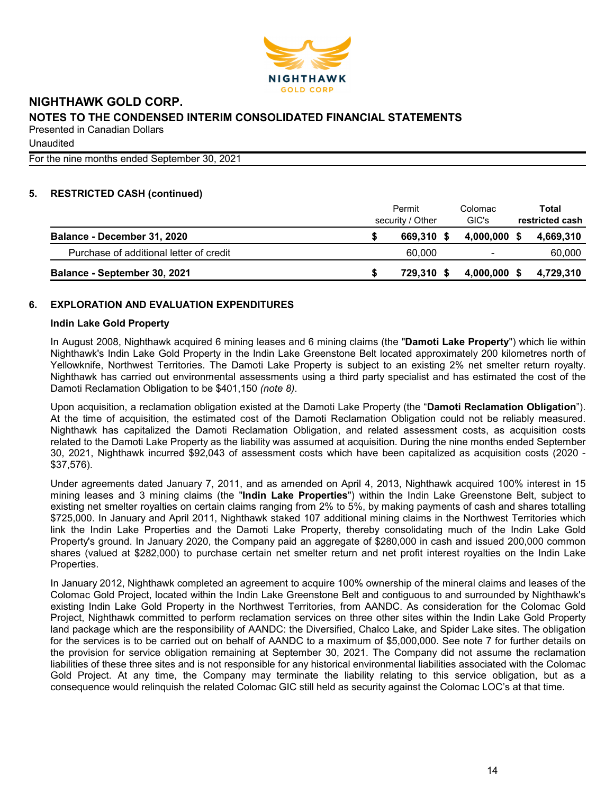

**Unaudited** 

For the nine months ended September 30, 2021

# **5. RESTRICTED CASH (continued)**

|                                         | Permit<br>security / Other |            |  | Colomac<br>GIC's |     | Total<br>restricted cash |
|-----------------------------------------|----------------------------|------------|--|------------------|-----|--------------------------|
| Balance - December 31, 2020             |                            | 669.310 \$ |  | 4.000.000 \$     |     | 4,669,310                |
| Purchase of additional letter of credit |                            | 60.000     |  | $\blacksquare$   |     | 60,000                   |
| Balance - September 30, 2021            |                            | 729.310 \$ |  | 4,000,000        | - S | 4,729,310                |

# **6. EXPLORATION AND EVALUATION EXPENDITURES**

## **Indin Lake Gold Property**

In August 2008, Nighthawk acquired 6 mining leases and 6 mining claims (the "**Damoti Lake Property**") which lie within Nighthawk's Indin Lake Gold Property in the Indin Lake Greenstone Belt located approximately 200 kilometres north of Yellowknife, Northwest Territories. The Damoti Lake Property is subject to an existing 2% net smelter return royalty. Nighthawk has carried out environmental assessments using a third party specialist and has estimated the cost of the Damoti Reclamation Obligation to be \$401,150 *(note 8)*.

Upon acquisition, a reclamation obligation existed at the Damoti Lake Property (the "**Damoti Reclamation Obligation**"). At the time of acquisition, the estimated cost of the Damoti Reclamation Obligation could not be reliably measured. Nighthawk has capitalized the Damoti Reclamation Obligation, and related assessment costs, as acquisition costs related to the Damoti Lake Property as the liability was assumed at acquisition. During the nine months ended September 30, 2021, Nighthawk incurred \$92,043 of assessment costs which have been capitalized as acquisition costs (2020 - \$37,576).

Under agreements dated January 7, 2011, and as amended on April 4, 2013, Nighthawk acquired 100% interest in 15 mining leases and 3 mining claims (the "**Indin Lake Properties**") within the Indin Lake Greenstone Belt, subject to existing net smelter royalties on certain claims ranging from 2% to 5%, by making payments of cash and shares totalling \$725,000. In January and April 2011, Nighthawk staked 107 additional mining claims in the Northwest Territories which link the Indin Lake Properties and the Damoti Lake Property, thereby consolidating much of the Indin Lake Gold Property's ground. In January 2020, the Company paid an aggregate of \$280,000 in cash and issued 200,000 common shares (valued at \$282,000) to purchase certain net smelter return and net profit interest royalties on the Indin Lake Properties.

In January 2012, Nighthawk completed an agreement to acquire 100% ownership of the mineral claims and leases of the Colomac Gold Project, located within the Indin Lake Greenstone Belt and contiguous to and surrounded by Nighthawk's existing Indin Lake Gold Property in the Northwest Territories, from AANDC. As consideration for the Colomac Gold Project, Nighthawk committed to perform reclamation services on three other sites within the Indin Lake Gold Property land package which are the responsibility of AANDC: the Diversified, Chalco Lake, and Spider Lake sites. The obligation for the services is to be carried out on behalf of AANDC to a maximum of \$5,000,000. See note 7 for further details on the provision for service obligation remaining at September 30, 2021. The Company did not assume the reclamation liabilities of these three sites and is not responsible for any historical environmental liabilities associated with the Colomac Gold Project. At any time, the Company may terminate the liability relating to this service obligation, but as a consequence would relinquish the related Colomac GIC still held as security against the Colomac LOC's at that time.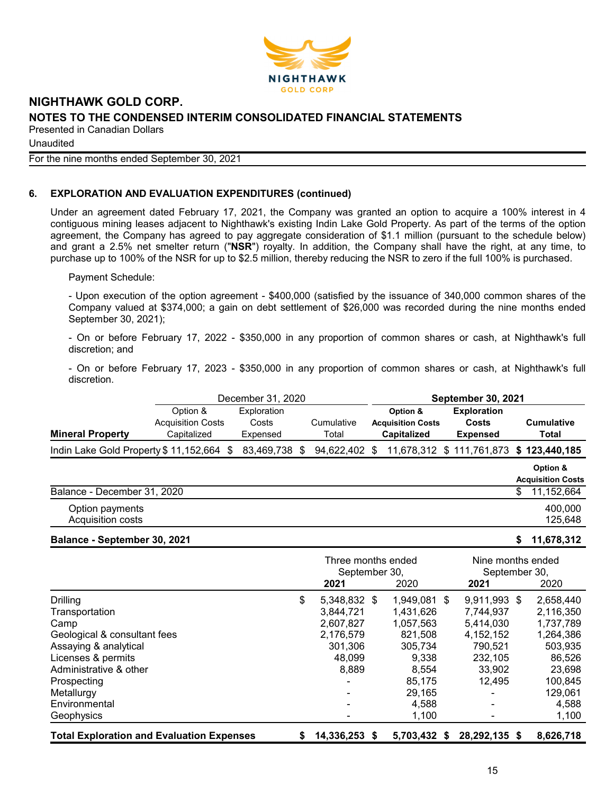

**Unaudited** 

#### For the nine months ended September 30, 2021

## **6. EXPLORATION AND EVALUATION EXPENDITURES (continued)**

Under an agreement dated February 17, 2021, the Company was granted an option to acquire a 100% interest in 4 contiguous mining leases adjacent to Nighthawk's existing Indin Lake Gold Property. As part of the terms of the option agreement, the Company has agreed to pay aggregate consideration of \$1.1 million (pursuant to the schedule below) and grant a 2.5% net smelter return ("**NSR**") royalty. In addition, the Company shall have the right, at any time, to purchase up to 100% of the NSR for up to \$2.5 million, thereby reducing the NSR to zero if the full 100% is purchased.

Payment Schedule:

- Upon execution of the option agreement - \$400,000 (satisfied by the issuance of 340,000 common shares of the Company valued at \$374,000; a gain on debt settlement of \$26,000 was recorded during the nine months ended September 30, 2021);

- On or before February 17, 2022 - \$350,000 in any proportion of common shares or cash, at Nighthawk's full discretion; and

- On or before February 17, 2023 - \$350,000 in any proportion of common shares or cash, at Nighthawk's full discretion.

|                                            |                                                     | December 31, 2020                |     |                     |  | <b>September 30, 2021</b>                                  |                                                |    |                                      |
|--------------------------------------------|-----------------------------------------------------|----------------------------------|-----|---------------------|--|------------------------------------------------------------|------------------------------------------------|----|--------------------------------------|
| <b>Mineral Property</b>                    | Option &<br><b>Acquisition Costs</b><br>Capitalized | Exploration<br>Costs<br>Expensed |     | Cumulative<br>Total |  | Option &<br><b>Acquisition Costs</b><br><b>Capitalized</b> | <b>Exploration</b><br>Costs<br><b>Expensed</b> |    | <b>Cumulative</b><br>Total           |
| Indin Lake Gold Property $$11,152,664$ $$$ |                                                     | 83,469,738                       | \$. | 94,622,402 \$       |  |                                                            | 11,678,312 \$ 111,761,873 \$ 123,440,185       |    |                                      |
|                                            |                                                     |                                  |     |                     |  |                                                            |                                                |    | Option &<br><b>Acquisition Costs</b> |
| Balance - December 31, 2020                |                                                     |                                  |     |                     |  |                                                            |                                                | \$ | 11,152,664                           |
| Option payments<br>Acquisition costs       |                                                     |                                  |     |                     |  |                                                            |                                                |    | 400,000<br>125,648                   |

#### **Balance - September 30, 2021 \$ 11,678,312**

|                                                  | Three months ended<br>September 30, |              | Nine months ended<br>September 30, |           |  |
|--------------------------------------------------|-------------------------------------|--------------|------------------------------------|-----------|--|
|                                                  | 2021                                | 2020         | 2021                               | 2020      |  |
| <b>Drilling</b>                                  | \$<br>5,348,832 \$                  | 1,949,081 \$ | $9,911,993$ \$                     | 2,658,440 |  |
| Transportation                                   | 3,844,721                           | 1.431.626    | 7.744.937                          | 2,116,350 |  |
| Camp                                             | 2,607,827                           | 1,057,563    | 5.414.030                          | 1,737,789 |  |
| Geological & consultant fees                     | 2,176,579                           | 821.508      | 4, 152, 152                        | 1,264,386 |  |
| Assaying & analytical                            | 301,306                             | 305,734      | 790,521                            | 503,935   |  |
| Licenses & permits                               | 48,099                              | 9,338        | 232,105                            | 86,526    |  |
| Administrative & other                           | 8,889                               | 8.554        | 33.902                             | 23.698    |  |
| Prospecting                                      |                                     | 85.175       | 12.495                             | 100,845   |  |
| Metallurgy                                       |                                     | 29,165       |                                    | 129,061   |  |
| Environmental                                    |                                     | 4,588        |                                    | 4,588     |  |
| Geophysics                                       |                                     | 1,100        |                                    | 1,100     |  |
| <b>Total Exploration and Evaluation Expenses</b> | \$<br>14,336,253 \$                 | 5.703.432 \$ | 28,292,135 \$                      | 8,626,718 |  |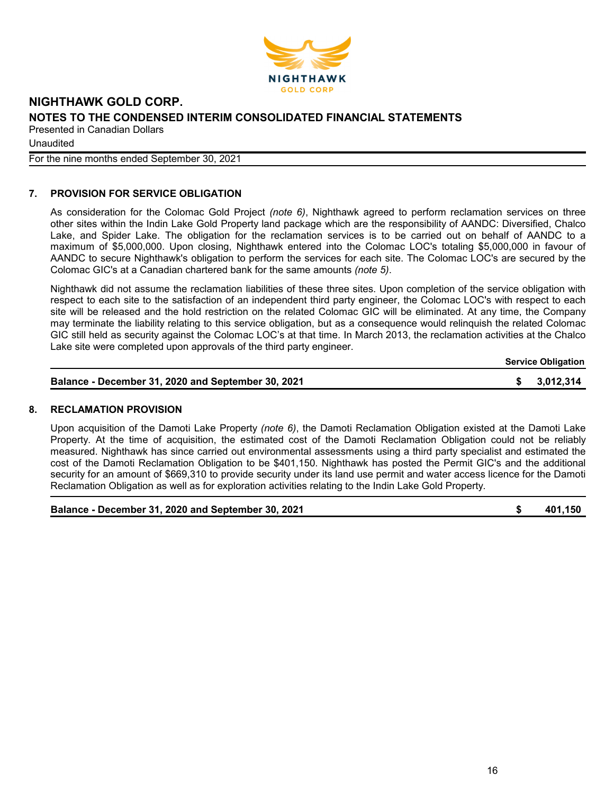

Unaudited

For the nine months ended September 30, 2021

# **7. PROVISION FOR SERVICE OBLIGATION**

As consideration for the Colomac Gold Project *(note 6)*, Nighthawk agreed to perform reclamation services on three other sites within the Indin Lake Gold Property land package which are the responsibility of AANDC: Diversified, Chalco Lake, and Spider Lake. The obligation for the reclamation services is to be carried out on behalf of AANDC to a maximum of \$5,000,000. Upon closing, Nighthawk entered into the Colomac LOC's totaling \$5,000,000 in favour of AANDC to secure Nighthawk's obligation to perform the services for each site. The Colomac LOC's are secured by the Colomac GIC's at a Canadian chartered bank for the same amounts *(note 5)*.

Nighthawk did not assume the reclamation liabilities of these three sites. Upon completion of the service obligation with respect to each site to the satisfaction of an independent third party engineer, the Colomac LOC's with respect to each site will be released and the hold restriction on the related Colomac GIC will be eliminated. At any time, the Company may terminate the liability relating to this service obligation, but as a consequence would relinquish the related Colomac GIC still held as security against the Colomac LOC's at that time. In March 2013, the reclamation activities at the Chalco Lake site were completed upon approvals of the third party engineer.

**Service Obligation**

| Balance - December 31, 2020 and September 30, 2021 | \$3,012,314 |
|----------------------------------------------------|-------------|
|                                                    |             |

### **8. RECLAMATION PROVISION**

Upon acquisition of the Damoti Lake Property *(note 6)*, the Damoti Reclamation Obligation existed at the Damoti Lake Property. At the time of acquisition, the estimated cost of the Damoti Reclamation Obligation could not be reliably measured. Nighthawk has since carried out environmental assessments using a third party specialist and estimated the cost of the Damoti Reclamation Obligation to be \$401,150. Nighthawk has posted the Permit GIC's and the additional security for an amount of \$669,310 to provide security under its land use permit and water access licence for the Damoti Reclamation Obligation as well as for exploration activities relating to the Indin Lake Gold Property.

**Balance - December 31, 2020 and September 30, 2021 \$ 401,150**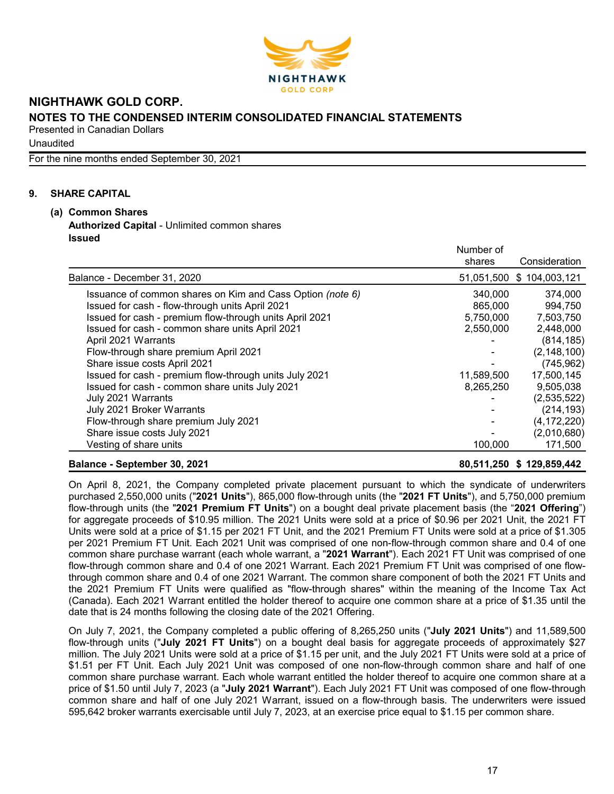

**Unaudited** 

For the nine months ended September 30, 2021

## **9. SHARE CAPITAL**

**(a) Common Shares Authorized Capital** - Unlimited common shares **Issued**

|                                                           | Number of  |               |
|-----------------------------------------------------------|------------|---------------|
|                                                           | shares     | Consideration |
| Balance - December 31, 2020                               | 51,051,500 | \$104,003,121 |
| Issuance of common shares on Kim and Cass Option (note 6) | 340,000    | 374,000       |
| Issued for cash - flow-through units April 2021           | 865,000    | 994,750       |
| Issued for cash - premium flow-through units April 2021   | 5,750,000  | 7,503,750     |
| Issued for cash - common share units April 2021           | 2,550,000  | 2,448,000     |
| April 2021 Warrants                                       |            | (814, 185)    |
| Flow-through share premium April 2021                     |            | (2, 148, 100) |
| Share issue costs April 2021                              |            | (745, 962)    |
| Issued for cash - premium flow-through units July 2021    | 11,589,500 | 17,500,145    |
| Issued for cash - common share units July 2021            | 8,265,250  | 9,505,038     |
| July 2021 Warrants                                        |            | (2,535,522)   |
| July 2021 Broker Warrants                                 |            | (214, 193)    |
| Flow-through share premium July 2021                      |            | (4, 172, 220) |
| Share issue costs July 2021                               |            | (2,010,680)   |
| Vesting of share units                                    | 100,000    | 171,500       |
| $\sim$ $\sim$ $\sim$ $\sim$ $\sim$ $\sim$                 |            |               |

### **Balance - September 30, 2021 80,511,250 \$ 129,859,442**

On April 8, 2021, the Company completed private placement pursuant to which the syndicate of underwriters purchased 2,550,000 units ("**2021 Units**"), 865,000 flow-through units (the "**2021 FT Units**"), and 5,750,000 premium flow-through units (the "**2021 Premium FT Units**") on a bought deal private placement basis (the "**2021 Offering**") for aggregate proceeds of \$10.95 million. The 2021 Units were sold at a price of \$0.96 per 2021 Unit, the 2021 FT Units were sold at a price of \$1.15 per 2021 FT Unit, and the 2021 Premium FT Units were sold at a price of \$1.305 per 2021 Premium FT Unit. Each 2021 Unit was comprised of one non-flow-through common share and 0.4 of one common share purchase warrant (each whole warrant, a "**2021 Warrant**"). Each 2021 FT Unit was comprised of one flow-through common share and 0.4 of one 2021 Warrant. Each 2021 Premium FT Unit was comprised of one flowthrough common share and 0.4 of one 2021 Warrant. The common share component of both the 2021 FT Units and the 2021 Premium FT Units were qualified as "flow-through shares" within the meaning of the Income Tax Act (Canada). Each 2021 Warrant entitled the holder thereof to acquire one common share at a price of \$1.35 until the date that is 24 months following the closing date of the 2021 Offering.

On July 7, 2021, the Company completed a public offering of 8,265,250 units ("**July 2021 Units**") and 11,589,500 flow-through units ("**July 2021 FT Units**") on a bought deal basis for aggregate proceeds of approximately \$27 million. The July 2021 Units were sold at a price of \$1.15 per unit, and the July 2021 FT Units were sold at a price of \$1.51 per FT Unit. Each July 2021 Unit was composed of one non-flow-through common share and half of one common share purchase warrant. Each whole warrant entitled the holder thereof to acquire one common share at a price of \$1.50 until July 7, 2023 (a "**July 2021 Warrant**"). Each July 2021 FT Unit was composed of one flow-through common share and half of one July 2021 Warrant, issued on a flow-through basis. The underwriters were issued 595,642 broker warrants exercisable until July 7, 2023, at an exercise price equal to \$1.15 per common share.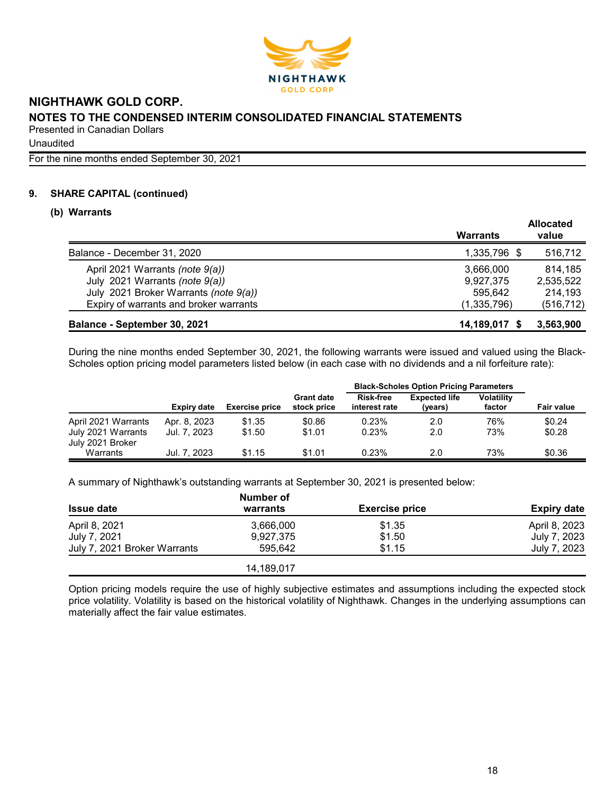

**Unaudited** 

For the nine months ended September 30, 2021

## **9. SHARE CAPITAL (continued)**

### **(b) Warrants**

|                                        | Warrants      | <b>Allocated</b><br>value |
|----------------------------------------|---------------|---------------------------|
| Balance - December 31, 2020            | 1,335,796 \$  | 516,712                   |
| April 2021 Warrants (note 9(a))        | 3.666.000     | 814,185                   |
| July 2021 Warrants (note 9(a))         | 9.927.375     | 2,535,522                 |
| July 2021 Broker Warrants (note 9(a))  | 595.642       | 214,193                   |
| Expiry of warrants and broker warrants | (1,335,796)   | (516, 712)                |
| Balance - September 30, 2021           | 14,189,017 \$ | 3,563,900                 |

During the nine months ended September 30, 2021, the following warrants were issued and valued using the Black-Scholes option pricing model parameters listed below (in each case with no dividends and a nil forfeiture rate):

|                                                               |                              |                       |                                  | <b>Black-Scholes Option Pricing Parameters</b> |                                 |                             |                   |
|---------------------------------------------------------------|------------------------------|-----------------------|----------------------------------|------------------------------------------------|---------------------------------|-----------------------------|-------------------|
|                                                               | <b>Expiry date</b>           | <b>Exercise price</b> | <b>Grant date</b><br>stock price | <b>Risk-free</b><br>interest rate              | <b>Expected life</b><br>(years) | <b>Volatility</b><br>factor | <b>Fair value</b> |
| April 2021 Warrants<br>July 2021 Warrants<br>July 2021 Broker | Apr. 8, 2023<br>Jul. 7. 2023 | \$1.35<br>\$1.50      | \$0.86<br>\$1.01                 | 0.23%<br>0.23%                                 | 2.0<br>2.0                      | 76%<br>73%                  | \$0.24<br>\$0.28  |
| Warrants                                                      | Jul. 7. 2023                 | \$1.15                | \$1.01                           | 0.23%                                          | 2.0                             | 73%                         | \$0.36            |

A summary of Nighthawk's outstanding warrants at September 30, 2021 is presented below:

|                              | <b>Number of</b> |                       |                    |  |  |  |
|------------------------------|------------------|-----------------------|--------------------|--|--|--|
| <b>Issue date</b>            | warrants         | <b>Exercise price</b> | <b>Expiry date</b> |  |  |  |
| April 8, 2021                | 3,666,000        | \$1.35                | April 8, 2023      |  |  |  |
| July 7, 2021                 | 9.927.375        | \$1.50                | July 7, 2023       |  |  |  |
| July 7, 2021 Broker Warrants | 595.642          | \$1.15                | July 7, 2023       |  |  |  |
|                              | 14,189,017       |                       |                    |  |  |  |

Option pricing models require the use of highly subjective estimates and assumptions including the expected stock price volatility. Volatility is based on the historical volatility of Nighthawk. Changes in the underlying assumptions can materially affect the fair value estimates.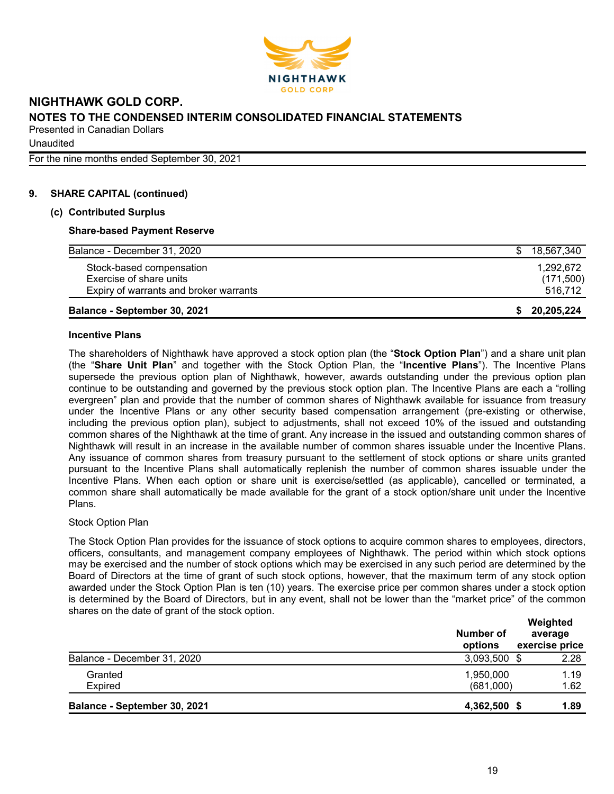

Unaudited

For the nine months ended September 30, 2021

## **9. SHARE CAPITAL (continued)**

### **(c) Contributed Surplus**

## **Share-based Payment Reserve**

| Expiry of warrants and broker warrants |            |
|----------------------------------------|------------|
| Exercise of share units                | (171,500)  |
| Stock-based compensation               | 1.292.672  |
| Balance - December 31, 2020            | 18.567.340 |

#### **Incentive Plans**

The shareholders of Nighthawk have approved a stock option plan (the "**Stock Option Plan**") and a share unit plan (the "**Share Unit Plan**" and together with the Stock Option Plan, the "**Incentive Plans**"). The Incentive Plans supersede the previous option plan of Nighthawk, however, awards outstanding under the previous option plan continue to be outstanding and governed by the previous stock option plan. The Incentive Plans are each a "rolling evergreen" plan and provide that the number of common shares of Nighthawk available for issuance from treasury under the Incentive Plans or any other security based compensation arrangement (pre-existing or otherwise, including the previous option plan), subject to adjustments, shall not exceed 10% of the issued and outstanding common shares of the Nighthawk at the time of grant. Any increase in the issued and outstanding common shares of Nighthawk will result in an increase in the available number of common shares issuable under the Incentive Plans. Any issuance of common shares from treasury pursuant to the settlement of stock options or share units granted pursuant to the Incentive Plans shall automatically replenish the number of common shares issuable under the Incentive Plans. When each option or share unit is exercise/settled (as applicable), cancelled or terminated, a common share shall automatically be made available for the grant of a stock option/share unit under the Incentive Plans.

### Stock Option Plan

The Stock Option Plan provides for the issuance of stock options to acquire common shares to employees, directors, officers, consultants, and management company employees of Nighthawk. The period within which stock options may be exercised and the number of stock options which may be exercised in any such period are determined by the Board of Directors at the time of grant of such stock options, however, that the maximum term of any stock option awarded under the Stock Option Plan is ten (10) years. The exercise price per common shares under a stock option is determined by the Board of Directors, but in any event, shall not be lower than the "market price" of the common shares on the date of grant of the stock option. **Weighted** 

|                              | Number of<br>options | weighted<br>average<br>exercise price |
|------------------------------|----------------------|---------------------------------------|
| Balance - December 31, 2020  | 3,093,500            | 2.28                                  |
| Granted                      | 1,950,000            | 1.19                                  |
| <b>Expired</b>               | (681,000)            | 1.62                                  |
| Balance - September 30, 2021 | 4,362,500            | 1.89                                  |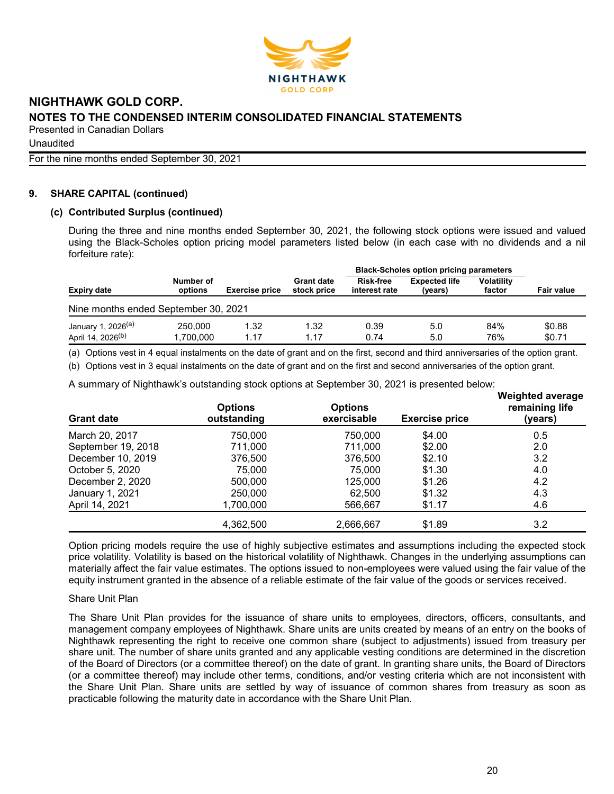

**Unaudited** 

For the nine months ended September 30, 2021

## **9. SHARE CAPITAL (continued)**

## **(c) Contributed Surplus (continued)**

During the three and nine months ended September 30, 2021, the following stock options were issued and valued using the Black-Scholes option pricing model parameters listed below (in each case with no dividends and a nil forfeiture rate):

|                                      |                                               |      |                                  | <b>Black-Scholes option pricing parameters</b> |                                 |                             |                   |
|--------------------------------------|-----------------------------------------------|------|----------------------------------|------------------------------------------------|---------------------------------|-----------------------------|-------------------|
| Expiry date                          | Number of<br><b>Exercise price</b><br>options |      | <b>Grant date</b><br>stock price | <b>Risk-free</b><br>interest rate              | <b>Expected life</b><br>(years) | <b>Volatility</b><br>factor | <b>Fair value</b> |
| Nine months ended September 30, 2021 |                                               |      |                                  |                                                |                                 |                             |                   |
| January 1, 2026 <sup>(a)</sup>       | 250,000                                       | 1.32 | 1.32                             | 0.39                                           | 5.0                             | 84%                         | \$0.88            |
| April 14, 2026 <sup>(b)</sup>        | 1.700.000                                     | 1.17 | 1.17                             | 0.74                                           | 5.0                             | 76%                         | \$0.71            |

(a) Options vest in 4 equal instalments on the date of grant and on the first, second and third anniversaries of the option grant.

(b) Options vest in 3 equal instalments on the date of grant and on the first and second anniversaries of the option grant.

A summary of Nighthawk's outstanding stock options at September 30, 2021 is presented below: **Weighted average**

| <b>Grant date</b>  | <b>Options</b><br>outstanding | <b>Options</b><br>exercisable | <b>Exercise price</b> | <i>vvelgned average</i><br>remaining life<br>(years) |
|--------------------|-------------------------------|-------------------------------|-----------------------|------------------------------------------------------|
| March 20, 2017     | 750,000                       | 750,000                       | \$4.00                | 0.5                                                  |
| September 19, 2018 | 711,000                       | 711.000                       | \$2.00                | 2.0                                                  |
| December 10, 2019  | 376,500                       | 376,500                       | \$2.10                | 3.2                                                  |
| October 5, 2020    | 75,000                        | 75,000                        | \$1.30                | 4.0                                                  |
| December 2, 2020   | 500,000                       | 125,000                       | \$1.26                | 4.2                                                  |
| January 1, 2021    | 250,000                       | 62.500                        | \$1.32                | 4.3                                                  |
| April 14, 2021     | 1,700,000                     | 566,667                       | \$1.17                | 4.6                                                  |
|                    | 4,362,500                     | 2,666,667                     | \$1.89                | 3.2                                                  |

Option pricing models require the use of highly subjective estimates and assumptions including the expected stock price volatility. Volatility is based on the historical volatility of Nighthawk. Changes in the underlying assumptions can materially affect the fair value estimates. The options issued to non-employees were valued using the fair value of the equity instrument granted in the absence of a reliable estimate of the fair value of the goods or services received.

### Share Unit Plan

The Share Unit Plan provides for the issuance of share units to employees, directors, officers, consultants, and management company employees of Nighthawk. Share units are units created by means of an entry on the books of Nighthawk representing the right to receive one common share (subject to adjustments) issued from treasury per share unit. The number of share units granted and any applicable vesting conditions are determined in the discretion of the Board of Directors (or a committee thereof) on the date of grant. In granting share units, the Board of Directors (or a committee thereof) may include other terms, conditions, and/or vesting criteria which are not inconsistent with the Share Unit Plan. Share units are settled by way of issuance of common shares from treasury as soon as practicable following the maturity date in accordance with the Share Unit Plan.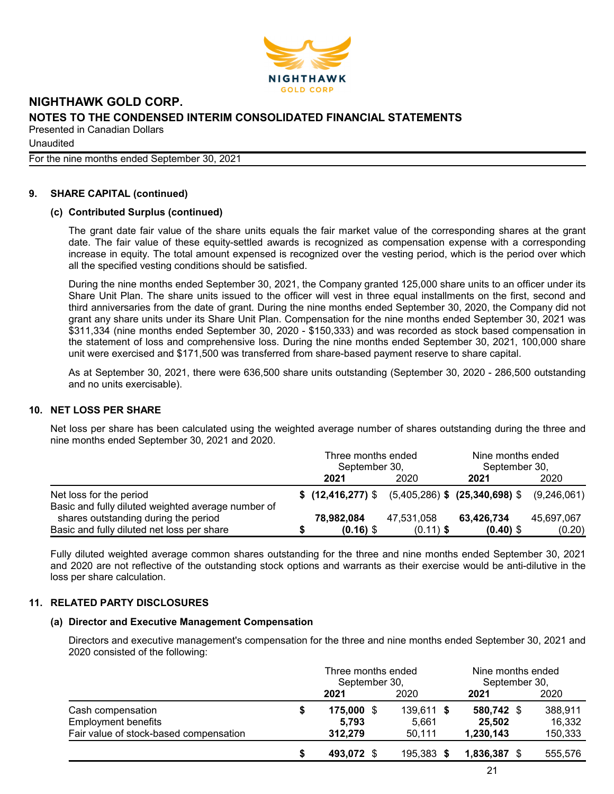

**Unaudited** 

For the nine months ended September 30, 2021

# **9. SHARE CAPITAL (continued)**

## **(c) Contributed Surplus (continued)**

The grant date fair value of the share units equals the fair market value of the corresponding shares at the grant date. The fair value of these equity-settled awards is recognized as compensation expense with a corresponding increase in equity. The total amount expensed is recognized over the vesting period, which is the period over which all the specified vesting conditions should be satisfied.

During the nine months ended September 30, 2021, the Company granted 125,000 share units to an officer under its Share Unit Plan. The share units issued to the officer will vest in three equal installments on the first, second and third anniversaries from the date of grant. During the nine months ended September 30, 2020, the Company did not grant any share units under its Share Unit Plan. Compensation for the nine months ended September 30, 2021 was \$311,334 (nine months ended September 30, 2020 - \$150,333) and was recorded as stock based compensation in the statement of loss and comprehensive loss. During the nine months ended September 30, 2021, 100,000 share unit were exercised and \$171,500 was transferred from share-based payment reserve to share capital.

As at September 30, 2021, there were 636,500 share units outstanding (September 30, 2020 - 286,500 outstanding and no units exercisable).

### **10. NET LOSS PER SHARE**

Net loss per share has been calculated using the weighted average number of shares outstanding during the three and nine months ended September 30, 2021 and 2020.

|                                                                                    | Three months ended<br>September 30, |                           |                           | Nine months ended<br>September 30,                                |                      |  |
|------------------------------------------------------------------------------------|-------------------------------------|---------------------------|---------------------------|-------------------------------------------------------------------|----------------------|--|
|                                                                                    |                                     | 2021                      | 2020                      | 2021                                                              | 2020                 |  |
| Net loss for the period<br>Basic and fully diluted weighted average number of      |                                     |                           |                           | $$$ (12,416,277) $$$ (5,405,286) $$$ (25,340,698) $$$ (9,246,061) |                      |  |
| shares outstanding during the period<br>Basic and fully diluted net loss per share |                                     | 78,982,084<br>$(0.16)$ \$ | 47,531,058<br>$(0.11)$ \$ | 63,426,734<br>$(0.40)$ \$                                         | 45,697,067<br>(0.20) |  |

Fully diluted weighted average common shares outstanding for the three and nine months ended September 30, 2021 and 2020 are not reflective of the outstanding stock options and warrants as their exercise would be anti-dilutive in the loss per share calculation.

# **11. RELATED PARTY DISCLOSURES**

## **(a) Director and Executive Management Compensation**

Directors and executive management's compensation for the three and nine months ended September 30, 2021 and 2020 consisted of the following:

|                                        |   | Three months ended<br>September 30, | Nine months ended<br>September 30, |              |  |         |
|----------------------------------------|---|-------------------------------------|------------------------------------|--------------|--|---------|
|                                        |   | 2021                                | 2020                               | 2021         |  | 2020    |
| Cash compensation                      | S | 175,000 \$                          | $139,611$ \$                       | 580,742 \$   |  | 388,911 |
| <b>Employment benefits</b>             |   | 5,793                               | 5,661                              | 25,502       |  | 16,332  |
| Fair value of stock-based compensation |   | 312,279                             | 50,111                             | 1,230,143    |  | 150,333 |
|                                        | S | 493,072 \$                          | 195,383 \$                         | 1,836,387 \$ |  | 555,576 |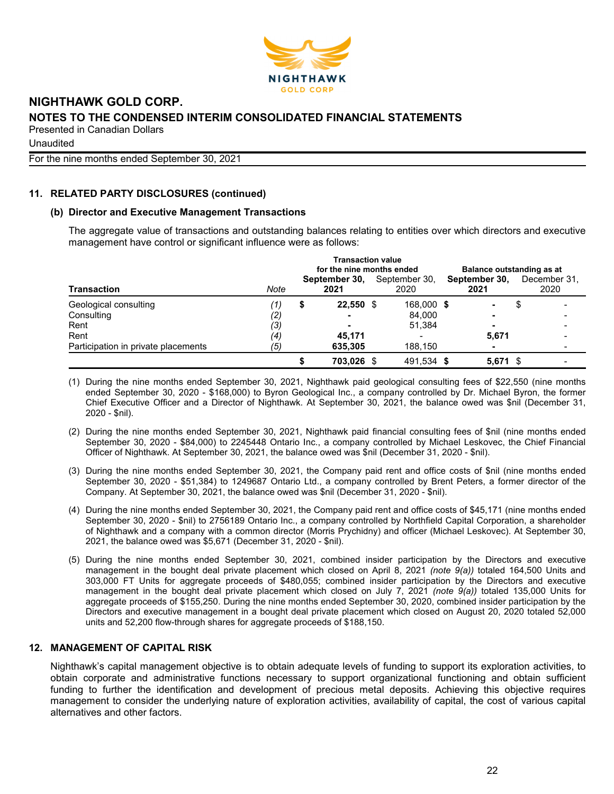

Unaudited

For the nine months ended September 30, 2021

# **11. RELATED PARTY DISCLOSURES (continued)**

## **(b) Director and Executive Management Transactions**

The aggregate value of transactions and outstanding balances relating to entities over which directors and executive management have control or significant influence were as follows:

|                                     | <b>Transaction value</b><br>for the nine months ended<br>Balance outstanding as at |   |                       |  |                       |  |                       |  |                      |  |
|-------------------------------------|------------------------------------------------------------------------------------|---|-----------------------|--|-----------------------|--|-----------------------|--|----------------------|--|
| Transaction                         | Note                                                                               |   | September 30,<br>2021 |  | September 30,<br>2020 |  | September 30,<br>2021 |  | December 31.<br>2020 |  |
| Geological consulting               | '1)                                                                                | S | 22,550 \$             |  | 168,000 \$            |  |                       |  |                      |  |
| Consulting                          | $\left( 2\right)$                                                                  |   |                       |  | 84.000                |  |                       |  |                      |  |
| Rent                                | (3)                                                                                |   |                       |  | 51.384                |  | -                     |  |                      |  |
| Rent                                | (4)                                                                                |   | 45.171                |  |                       |  | 5,671                 |  |                      |  |
| Participation in private placements | (5)                                                                                |   | 635,305               |  | 188,150               |  | -                     |  |                      |  |
|                                     |                                                                                    |   | 703.026 \$            |  | 491.534 \$            |  | $5,671$ \$            |  |                      |  |

- (1) During the nine months ended September 30, 2021, Nighthawk paid geological consulting fees of \$22,550 (nine months ended September 30, 2020 - \$168,000) to Byron Geological Inc., a company controlled by Dr. Michael Byron, the former Chief Executive Officer and a Director of Nighthawk. At September 30, 2021, the balance owed was \$nil (December 31, 2020 - \$nil).
- (2) During the nine months ended September 30, 2021, Nighthawk paid financial consulting fees of \$nil (nine months ended September 30, 2020 - \$84,000) to 2245448 Ontario Inc., a company controlled by Michael Leskovec, the Chief Financial Officer of Nighthawk. At September 30, 2021, the balance owed was \$nil (December 31, 2020 - \$nil).
- (3) During the nine months ended September 30, 2021, the Company paid rent and office costs of \$nil (nine months ended September 30, 2020 - \$51,384) to 1249687 Ontario Ltd., a company controlled by Brent Peters, a former director of the Company. At September 30, 2021, the balance owed was \$nil (December 31, 2020 - \$nil).
- (4) During the nine months ended September 30, 2021, the Company paid rent and office costs of \$45,171 (nine months ended September 30, 2020 - \$nil) to 2756189 Ontario Inc., a company controlled by Northfield Capital Corporation, a shareholder of Nighthawk and a company with a common director (Morris Prychidny) and officer (Michael Leskovec). At September 30, 2021, the balance owed was \$5,671 (December 31, 2020 - \$nil).
- (5) During the nine months ended September 30, 2021, combined insider participation by the Directors and executive management in the bought deal private placement which closed on April 8, 2021 *(note 9(a))* totaled 164,500 Units and 303,000 FT Units for aggregate proceeds of \$480,055; combined insider participation by the Directors and executive management in the bought deal private placement which closed on July 7, 2021 *(note 9(a))* totaled 135,000 Units for aggregate proceeds of \$155,250. During the nine months ended September 30, 2020, combined insider participation by the Directors and executive management in a bought deal private placement which closed on August 20, 2020 totaled 52,000 units and 52,200 flow-through shares for aggregate proceeds of \$188,150.

# **12. MANAGEMENT OF CAPITAL RISK**

Nighthawk's capital management objective is to obtain adequate levels of funding to support its exploration activities, to obtain corporate and administrative functions necessary to support organizational functioning and obtain sufficient funding to further the identification and development of precious metal deposits. Achieving this objective requires management to consider the underlying nature of exploration activities, availability of capital, the cost of various capital alternatives and other factors.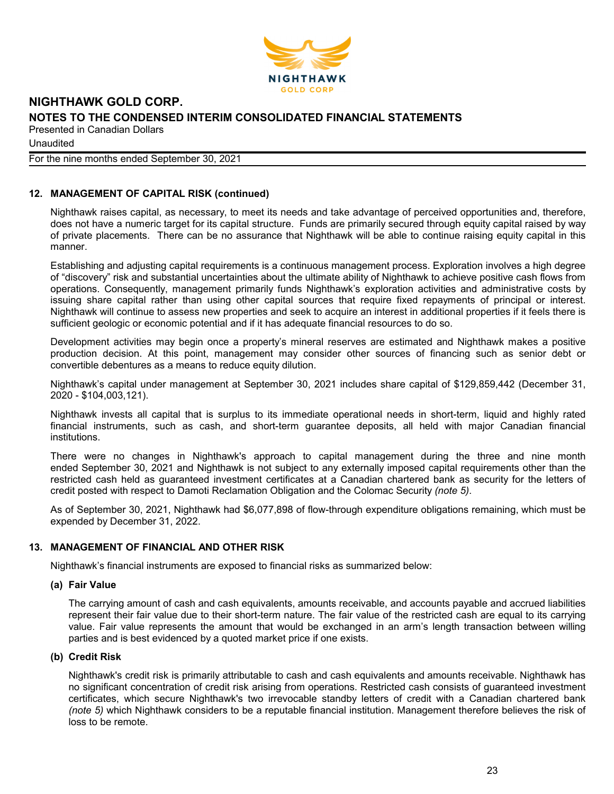

**Unaudited** 

#### For the nine months ended September 30, 2021

## **12. MANAGEMENT OF CAPITAL RISK (continued)**

Nighthawk raises capital, as necessary, to meet its needs and take advantage of perceived opportunities and, therefore, does not have a numeric target for its capital structure. Funds are primarily secured through equity capital raised by way of private placements. There can be no assurance that Nighthawk will be able to continue raising equity capital in this manner.

Establishing and adjusting capital requirements is a continuous management process. Exploration involves a high degree of "discovery" risk and substantial uncertainties about the ultimate ability of Nighthawk to achieve positive cash flows from operations. Consequently, management primarily funds Nighthawk's exploration activities and administrative costs by issuing share capital rather than using other capital sources that require fixed repayments of principal or interest. Nighthawk will continue to assess new properties and seek to acquire an interest in additional properties if it feels there is sufficient geologic or economic potential and if it has adequate financial resources to do so.

Development activities may begin once a property's mineral reserves are estimated and Nighthawk makes a positive production decision. At this point, management may consider other sources of financing such as senior debt or convertible debentures as a means to reduce equity dilution.

Nighthawk's capital under management at September 30, 2021 includes share capital of \$129,859,442 (December 31, 2020 - \$104,003,121).

Nighthawk invests all capital that is surplus to its immediate operational needs in short-term, liquid and highly rated financial instruments, such as cash, and short-term guarantee deposits, all held with major Canadian financial institutions.

There were no changes in Nighthawk's approach to capital management during the three and nine month ended September 30, 2021 and Nighthawk is not subject to any externally imposed capital requirements other than the restricted cash held as guaranteed investment certificates at a Canadian chartered bank as security for the letters of credit posted with respect to Damoti Reclamation Obligation and the Colomac Security *(note 5)*.

As of September 30, 2021, Nighthawk had \$6,077,898 of flow-through expenditure obligations remaining, which must be expended by December 31, 2022.

### **13. MANAGEMENT OF FINANCIAL AND OTHER RISK**

Nighthawk's financial instruments are exposed to financial risks as summarized below:

### **(a) Fair Value**

The carrying amount of cash and cash equivalents, amounts receivable, and accounts payable and accrued liabilities represent their fair value due to their short-term nature. The fair value of the restricted cash are equal to its carrying value. Fair value represents the amount that would be exchanged in an arm's length transaction between willing parties and is best evidenced by a quoted market price if one exists.

### **(b) Credit Risk**

Nighthawk's credit risk is primarily attributable to cash and cash equivalents and amounts receivable. Nighthawk has no significant concentration of credit risk arising from operations. Restricted cash consists of guaranteed investment certificates, which secure Nighthawk's two irrevocable standby letters of credit with a Canadian chartered bank *(note 5)* which Nighthawk considers to be a reputable financial institution. Management therefore believes the risk of loss to be remote.